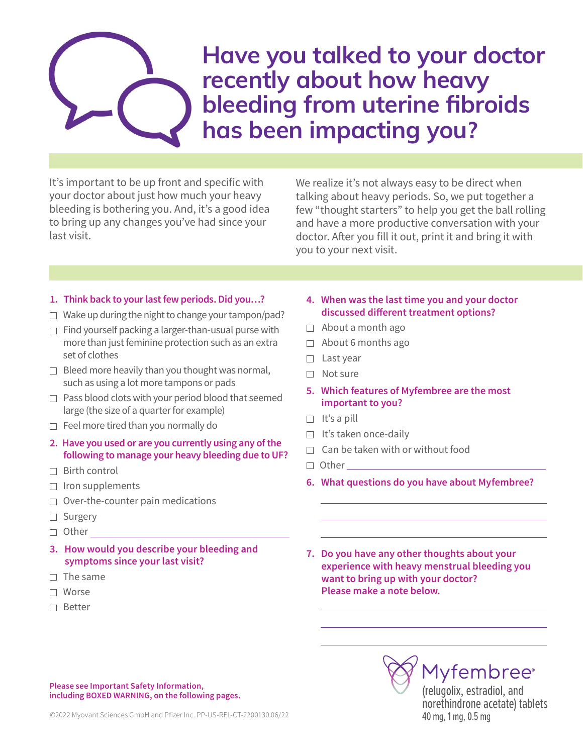# Have you talked to your doctor recently about how heavy bleeding from uterine fibroids has been impacting you?

It's important to be up front and specific with your doctor about just how much your heavy bleeding is bothering you. And, it's a good idea to bring up any changes you've had since your last visit.

We realize it's not always easy to be direct when talking about heavy periods. So, we put together a few "thought starters" to help you get the ball rolling and have a more productive conversation with your doctor. After you fill it out, print it and bring it with you to your next visit.

#### **1. Think back to your last few periods. Did you…?**

- $\Box$  Wake up during the night to change your tampon/pad?
- $\Box$  Find yourself packing a larger-than-usual purse with more than just feminine protection such as an extra set of clothes
- $\Box$  Bleed more heavily than you thought was normal, such as using a lot more tampons or pads
- $\Box$  Pass blood clots with your period blood that seemed large (the size of a quarter for example)
- $\Box$  Feel more tired than you normally do
- **2. Have you used or are you currently using any of the following to manage your heavy bleeding due to UF?**
- $\Box$  Birth control
- $\Box$  Iron supplements
- $\Box$  Over-the-counter pain medications
- □ Surgery
- □ Other
- **3. How would you describe your bleeding and symptoms since your last visit?**
- $\Box$  The same
- Worse
- □ Better
- **4. When was the last time you and your doctor discussed different treatment options?**
- $\Box$  About a month ago
- $\Box$  About 6 months ago
- $\Box$  Last year
- $\Box$  Not sure
- **5. Which features of Myfembree are the most important to you?**
- $\Box$  It's a pill
- $\Box$  It's taken once-daily
- $\Box$  Can be taken with or without food
- □ Other
- **6. What questions do you have about Myfembree?**
- **7. Do you have any other thoughts about your experience with heavy menstrual bleeding you want to bring up with your doctor? Please make a note below.**

**Please see Important Safety Information, including BOXED WARNING, on the following pages.**

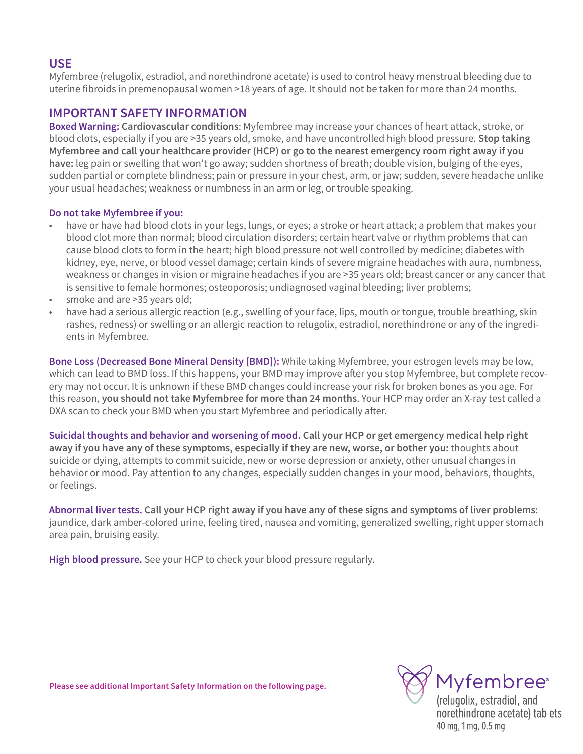## **USE**

Myfembree (relugolix, estradiol, and norethindrone acetate) is used to control heavy menstrual bleeding due to uterine fibroids in premenopausal women  $\geq$ 18 years of age. It should not be taken for more than 24 months.

### **IMPORTANT SAFETY INFORMATION**

**Boxed Warning: Cardiovascular conditions**: Myfembree may increase your chances of heart attack, stroke, or blood clots, especially if you are >35 years old, smoke, and have uncontrolled high blood pressure. **Stop taking Myfembree and call your healthcare provider (HCP) or go to the nearest emergency room right away if you have:** leg pain or swelling that won't go away; sudden shortness of breath; double vision, bulging of the eyes, sudden partial or complete blindness; pain or pressure in your chest, arm, or jaw; sudden, severe headache unlike your usual headaches; weakness or numbness in an arm or leg, or trouble speaking.

#### **Do not take Myfembree if you:**

- have or have had blood clots in your legs, lungs, or eyes; a stroke or heart attack; a problem that makes your blood clot more than normal; blood circulation disorders; certain heart valve or rhythm problems that can cause blood clots to form in the heart; high blood pressure not well controlled by medicine; diabetes with kidney, eye, nerve, or blood vessel damage; certain kinds of severe migraine headaches with aura, numbness, weakness or changes in vision or migraine headaches if you are >35 years old; breast cancer or any cancer that is sensitive to female hormones; osteoporosis; undiagnosed vaginal bleeding; liver problems;
- smoke and are >35 years old;
- have had a serious allergic reaction (e.g., swelling of your face, lips, mouth or tongue, trouble breathing, skin rashes, redness) or swelling or an allergic reaction to relugolix, estradiol, norethindrone or any of the ingredients in Myfembree.

**Bone Loss (Decreased Bone Mineral Density [BMD]):** While taking Myfembree, your estrogen levels may be low, which can lead to BMD loss. If this happens, your BMD may improve after you stop Myfembree, but complete recovery may not occur. It is unknown if these BMD changes could increase your risk for broken bones as you age. For this reason, **you should not take Myfembree for more than 24 months**. Your HCP may order an X-ray test called a DXA scan to check your BMD when you start Myfembree and periodically after.

**Suicidal thoughts and behavior and worsening of mood. Call your HCP or get emergency medical help right away if you have any of these symptoms, especially if they are new, worse, or bother you:** thoughts about suicide or dying, attempts to commit suicide, new or worse depression or anxiety, other unusual changes in behavior or mood. Pay attention to any changes, especially sudden changes in your mood, behaviors, thoughts, or feelings.

**Abnormal liver tests. Call your HCP right away if you have any of these signs and symptoms of liver problems**: jaundice, dark amber-colored urine, feeling tired, nausea and vomiting, generalized swelling, right upper stomach area pain, bruising easily.

**High blood pressure.** See your HCP to check your blood pressure regularly.

**Please see additional Important Safety Information on the following page.**